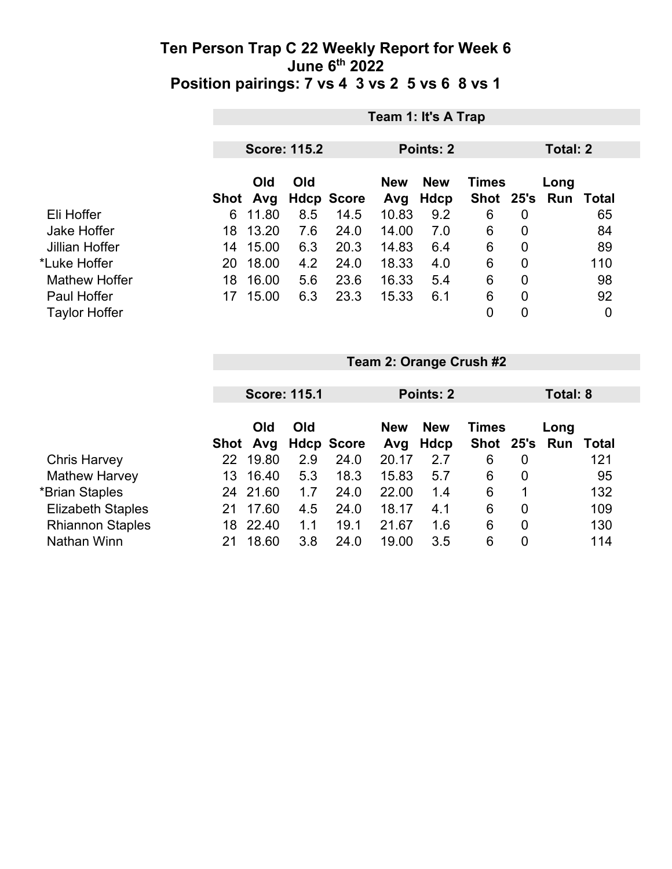|                      |                           | Team 1: It's A Trap |                   |                   |                    |              |                |                             |     |  |  |
|----------------------|---------------------------|---------------------|-------------------|-------------------|--------------------|--------------|----------------|-----------------------------|-----|--|--|
|                      |                           | <b>Score: 115.2</b> |                   |                   |                    | Points: 2    |                |                             |     |  |  |
|                      | <b>Old</b><br>Avg<br>Shot | Old                 | <b>Hdcp Score</b> | <b>New</b><br>Avg | <b>New</b><br>Hdcp | <b>Times</b> |                | Long<br>Shot 25's Run Total |     |  |  |
| Eli Hoffer           | 11.80<br>6                | 8.5                 | 14.5              | 10.83             | 9.2                | 6            | $\overline{0}$ |                             | 65  |  |  |
| Jake Hoffer          | 13.20<br>18               | 7.6                 | 24.0              | 14.00             | 7.0                | 6            | $\overline{0}$ |                             | 84  |  |  |
| Jillian Hoffer       | 15.00<br>14               | 6.3                 | 20.3              | 14.83             | 6.4                | 6            | $\mathbf 0$    |                             | 89  |  |  |
| *Luke Hoffer         | 18.00<br>20               | 4.2                 | 24.0              | 18.33             | 4.0                | 6            | $\mathbf 0$    |                             | 110 |  |  |
| <b>Mathew Hoffer</b> | 16.00<br>18               | 5.6                 | 23.6              | 16.33             | 5.4                | 6            | $\mathbf 0$    |                             | 98  |  |  |
| <b>Paul Hoffer</b>   | 15.00<br>17               | 6.3                 | 23.3              | 15.33             | 6.1                | 6            | $\overline{0}$ |                             | 92  |  |  |
| <b>Taylor Hoffer</b> |                           |                     |                   |                   |                    | $\mathbf 0$  | $\mathbf 0$    |                             | 0   |  |  |

|                          |     | <b>Score: 115.1</b> |     |                   |                                          | Points: 2 |               |                  | Total: 8 |       |  |
|--------------------------|-----|---------------------|-----|-------------------|------------------------------------------|-----------|---------------|------------------|----------|-------|--|
|                          |     |                     |     |                   |                                          |           |               |                  |          |       |  |
|                          |     | Old<br>Old          |     |                   | <b>New</b><br><b>Times</b><br><b>New</b> |           |               |                  | Long     |       |  |
|                          |     | Shot Avg            |     | <b>Hdcp Score</b> | Avg                                      | Hdcp      | Shot 25's Run |                  |          | Total |  |
| <b>Chris Harvey</b>      | 22  | 19.80               | 2.9 | 24.0              | 20.17                                    | 2.7       | 6             | 0                |          | 121   |  |
| <b>Mathew Harvey</b>     | 13. | 16.40               | 5.3 | 18.3              | 15.83                                    | 5.7       | 6             | $\overline{0}$   |          | 95    |  |
| *Brian Staples           | 24  | 21.60               | 1.7 | 24.0              | 22.00                                    | 1.4       | 6             | 1                |          | 132   |  |
| <b>Elizabeth Staples</b> | 21  | 17.60               | 4.5 | 24.0              | 18.17                                    | 4.1       | 6             | $\overline{0}$   |          | 109   |  |
| <b>Rhiannon Staples</b>  | 18  | 22.40               | 1.1 | 19.1              | 21.67                                    | 1.6       | 6             | $\boldsymbol{0}$ |          | 130   |  |
| Nathan Winn              | 21  | 18.60               | 3.8 | 24.0              | 19.00                                    | 3.5       | 6             | 0                |          | 114   |  |

**Team 2: Orange Crush #2**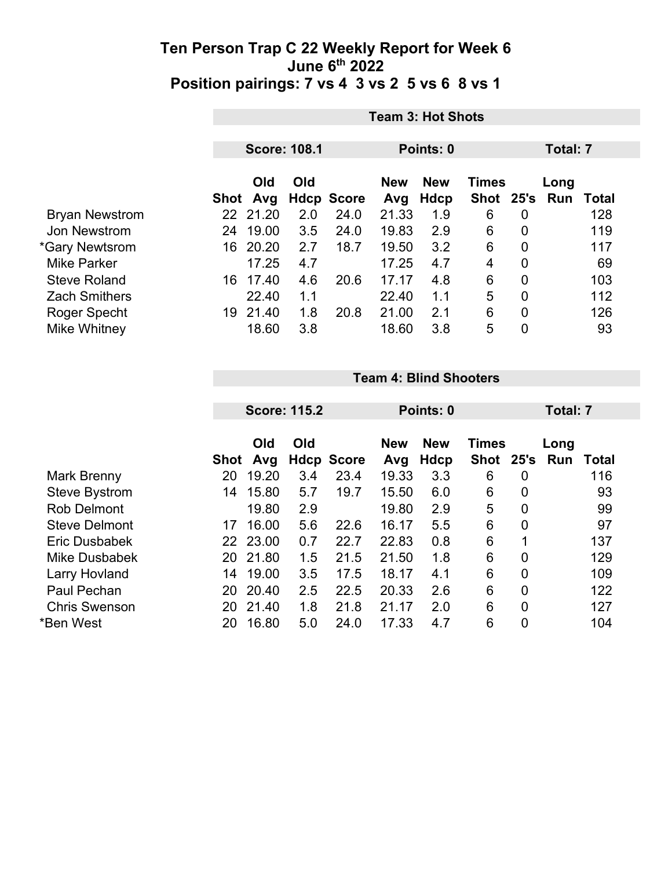|                       | <b>Team 3: Hot Shots</b> |                     |     |                                          |       |           |           |                |     |       |  |
|-----------------------|--------------------------|---------------------|-----|------------------------------------------|-------|-----------|-----------|----------------|-----|-------|--|
|                       |                          | <b>Score: 108.1</b> |     |                                          |       | Points: 0 |           | Total: 7       |     |       |  |
|                       |                          |                     |     |                                          |       |           |           |                |     |       |  |
|                       | Old<br>Old               |                     |     | <b>New</b><br><b>Times</b><br><b>New</b> |       |           | Long      |                |     |       |  |
|                       |                          | Shot Avg            |     | <b>Hdcp Score</b>                        | Avg   | Hdcp      | Shot 25's |                | Run | Total |  |
| <b>Bryan Newstrom</b> |                          | 22 21.20            | 2.0 | 24.0                                     | 21.33 | 1.9       | 6         | 0              |     | 128   |  |
| Jon Newstrom          | 24                       | 19.00               | 3.5 | 24.0                                     | 19.83 | 2.9       | 6         | $\overline{0}$ |     | 119   |  |
| *Gary Newtsrom        | 16                       | 20.20               | 2.7 | 18.7                                     | 19.50 | 3.2       | 6         | 0              |     | 117   |  |
| <b>Mike Parker</b>    |                          | 17.25               | 4.7 |                                          | 17.25 | 4.7       | 4         | $\overline{0}$ |     | 69    |  |
| <b>Steve Roland</b>   | 16                       | 17.40               | 4.6 | 20.6                                     | 17.17 | 4.8       | 6         | $\overline{0}$ |     | 103   |  |
| <b>Zach Smithers</b>  |                          | 22.40               | 1.1 |                                          | 22.40 | 1.1       | 5         | $\overline{0}$ |     | 112   |  |
| Roger Specht          | 19                       | 21.40               | 1.8 | 20.8                                     | 21.00 | 2.1       | 6         | $\overline{0}$ |     | 126   |  |
| Mike Whitney          |                          | 18.60               | 3.8 |                                          | 18.60 | 3.8       | 5         | $\overline{0}$ |     | 93    |  |

#### **Team 4: Blind Shooters**

| <b>Score: 115.2</b> |          |                                                                         |                   |                                   |                                | <b>Total: 7</b>                               |                                     |                                               |              |
|---------------------|----------|-------------------------------------------------------------------------|-------------------|-----------------------------------|--------------------------------|-----------------------------------------------|-------------------------------------|-----------------------------------------------|--------------|
|                     | Old      | Old                                                                     |                   | <b>New</b>                        | <b>New</b>                     |                                               |                                     | Long                                          |              |
|                     |          |                                                                         |                   |                                   |                                |                                               |                                     |                                               | Total<br>116 |
|                     |          |                                                                         |                   |                                   |                                |                                               |                                     |                                               |              |
|                     |          |                                                                         |                   |                                   |                                |                                               |                                     |                                               | 93           |
|                     |          |                                                                         |                   |                                   |                                |                                               |                                     |                                               | 99           |
| 17                  | 16.00    | 5.6                                                                     | 22.6              | 16.17                             | 5.5                            | 6                                             | 0                                   |                                               | 97           |
|                     |          | 0.7                                                                     | 22.7              | 22.83                             | 0.8                            | 6                                             | 1                                   |                                               | 137          |
| 20                  |          | 1.5                                                                     | 21.5              | 21.50                             | 1.8                            | 6                                             | $\overline{0}$                      |                                               | 129          |
| 14                  |          | 3.5                                                                     | 17.5              | 18.17                             | 4.1                            | 6                                             | $\overline{0}$                      |                                               | 109          |
| 20                  | 20.40    | 2.5                                                                     | 22.5              | 20.33                             | 2.6                            | 6                                             | $\overline{0}$                      |                                               | 122          |
| 20                  | 21.40    | 1.8                                                                     | 21.8              | 21.17                             | 2.0                            | 6                                             | $\overline{0}$                      |                                               | 127          |
| 20                  | 16.80    | 5.0                                                                     | 24.0              | 17.33                             | 4.7                            | 6                                             | $\overline{0}$                      |                                               | 104          |
|                     | 20<br>14 | Avg<br>Shot<br>19.20<br>15.80<br>19.80<br>23.00<br>22<br>21.80<br>19.00 | 3.4<br>5.7<br>2.9 | <b>Hdcp Score</b><br>23.4<br>19.7 | Avg<br>19.33<br>15.50<br>19.80 | Points: 0<br><b>Hdcp</b><br>3.3<br>6.0<br>2.9 | <b>Times</b><br>Shot<br>6<br>6<br>5 | 25's<br>0<br>$\overline{0}$<br>$\overline{0}$ | Run          |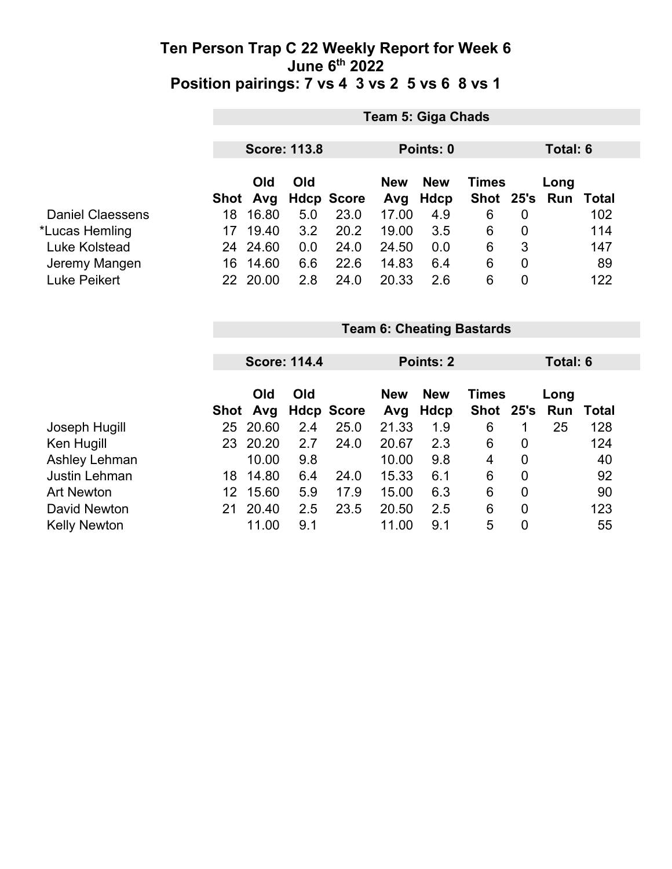|                         |                                  | <b>Team 5: Giga Chads</b> |     |                   |                   |                    |                    |                  |             |       |  |
|-------------------------|----------------------------------|---------------------------|-----|-------------------|-------------------|--------------------|--------------------|------------------|-------------|-------|--|
|                         |                                  | <b>Score: 113.8</b>       |     |                   |                   | Points: 0          |                    |                  | Total: 6    |       |  |
|                         |                                  | Old<br>Shot Avg           | Old | <b>Hdcp Score</b> | <b>New</b><br>Avg | <b>New</b><br>Hdcp | Times<br>Shot 25's |                  | Long<br>Run | Total |  |
| <b>Daniel Claessens</b> | 18                               | 16.80                     | 5.0 | 23.0              | 17.00             | 4.9                | 6                  | $\mathbf 0$      |             | 102   |  |
| *Lucas Hemling          | 17                               | 19.40                     | 3.2 | 20.2              | 19.00             | 3.5                | 6                  | $\boldsymbol{0}$ |             | 114   |  |
| Luke Kolstead           |                                  | 24 24.60                  | 0.0 | 24.0              | 24.50             | 0.0                | 6                  | 3                |             | 147   |  |
| Jeremy Mangen           |                                  | 16 14.60                  | 6.6 | 22.6              | 14.83             | 6.4                | $\,6$              | $\mathbf 0$      |             | 89    |  |
| Luke Peikert            |                                  | 22 20.00                  | 2.8 | 24.0              | 20.33             | 2.6                | 6                  | $\mathbf 0$      |             | 122   |  |
|                         | <b>Team 6: Cheating Bastards</b> |                           |     |                   |                   |                    |                    |                  |             |       |  |
|                         |                                  |                           |     |                   |                   |                    |                    |                  |             |       |  |
|                         |                                  | <b>Score: 114.4</b>       |     |                   | Points: 2         |                    |                    |                  | Total: 6    |       |  |
|                         |                                  | Old                       | Old |                   | <b>New</b>        | <b>New</b>         | <b>Times</b>       |                  | Long        |       |  |

|                     |     |          |     | Shot Avg Hdcp Score Avg Hdcp |       |     | Shot 25's Run |   |    | Total |
|---------------------|-----|----------|-----|------------------------------|-------|-----|---------------|---|----|-------|
| Joseph Hugill       |     | 25 20.60 | 2.4 | 25.0                         | 21.33 | 1.9 | 6             |   | 25 | 128   |
| Ken Hugill          |     | 23 20.20 | 2.7 | 24.0                         | 20.67 | 2.3 | 6             | 0 |    | 124   |
| Ashley Lehman       |     | 10.00    | 9.8 |                              | 10.00 | 9.8 | 4             | 0 |    | 40    |
| Justin Lehman       | 18. | 14.80    | 6.4 | 24.0                         | 15.33 | 6.1 | 6             | 0 |    | 92    |
| <b>Art Newton</b>   | 12. | 15.60    | 5.9 | 17.9                         | 15.00 | 6.3 | 6             | 0 |    | 90    |
| David Newton        | 21. | 20.40    | 2.5 | 23.5                         | 20.50 | 2.5 | 6             | 0 |    | 123   |
| <b>Kelly Newton</b> |     | 11.00    | 9.1 |                              | 11.00 | 9.1 | 5             | 0 |    | 55    |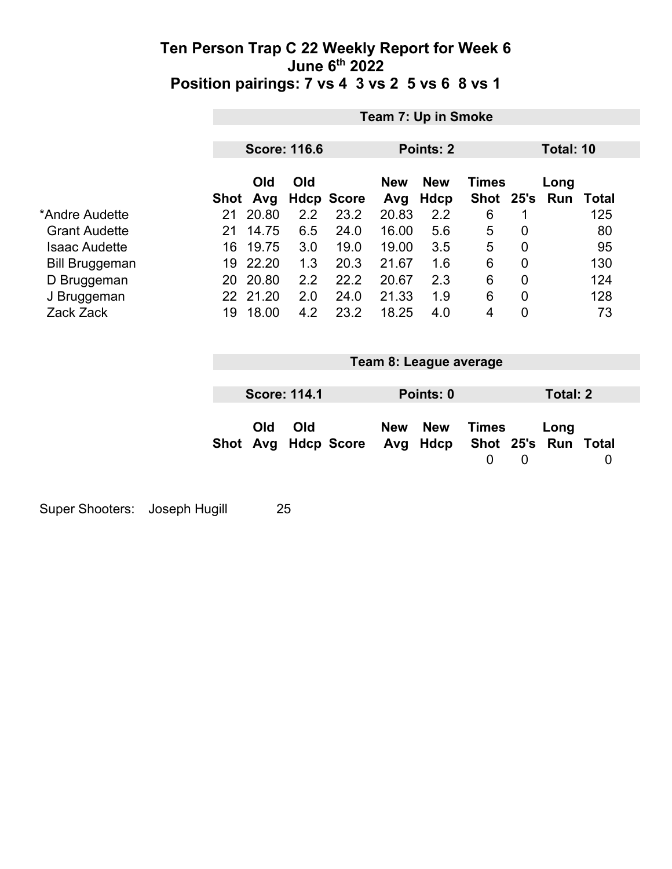|                       |      | Team 7: Up in Smoke |                     |                   |                   |                        |                      |             |                 |              |
|-----------------------|------|---------------------|---------------------|-------------------|-------------------|------------------------|----------------------|-------------|-----------------|--------------|
|                       |      | <b>Score: 116.6</b> |                     |                   | Points: 2         |                        |                      |             | Total: 10       |              |
|                       |      | Old                 | Old                 |                   | <b>New</b>        | <b>New</b>             | Times                |             | Long            |              |
|                       | Shot | Avg                 |                     | <b>Hdcp Score</b> | Avg               | <b>Hdcp</b>            | <b>Shot</b>          |             | 25's Run        | <b>Total</b> |
| *Andre Audette        | 21   | 20.80               | 2.2                 | 23.2              | 20.83             | 2.2                    | 6                    | 1           |                 | 125          |
| <b>Grant Audette</b>  | 21   | 14.75               | 6.5                 | 24.0              | 16.00             | 5.6                    | 5                    | 0           |                 | 80           |
| <b>Isaac Audette</b>  | 16   | 19.75               | 3.0                 | 19.0              | 19.00             | 3.5                    | 5                    | $\mathbf 0$ |                 | 95           |
| <b>Bill Bruggeman</b> | 19   | 22.20               | 1.3                 | 20.3              | 21.67             | 1.6                    | 6                    | $\mathbf 0$ |                 | 130          |
| D Bruggeman           | 20   | 20.80               | 2.2                 | 22.2              | 20.67             | 2.3                    | $6\phantom{1}$       | $\mathbf 0$ |                 | 124          |
| J Bruggeman           |      | 22 21.20            | 2.0                 | 24.0              | 21.33             | 1.9                    | 6                    | $\mathbf 0$ |                 | 128          |
| Zack Zack             | 19   | 18.00               | 4.2                 | 23.2              | 18.25             | 4.0                    | 4                    | $\mathbf 0$ |                 | 73           |
|                       |      |                     |                     |                   |                   | Team 8: League average |                      |             |                 |              |
|                       |      |                     |                     |                   |                   |                        |                      |             |                 |              |
|                       |      |                     | <b>Score: 114.1</b> |                   |                   | Points: 0              |                      |             | <b>Total: 2</b> |              |
|                       | Shot | Old<br>Avg          | Old                 | <b>Hdcp Score</b> | <b>New</b><br>Avg | <b>New</b><br>Hdcp     | <b>Times</b><br>Shot | 25's        | Long<br>Run     | <b>Total</b> |
|                       |      |                     |                     |                   |                   |                        | $\mathbf 0$          | 0           |                 | 0            |

Super Shooters: Joseph Hugill 25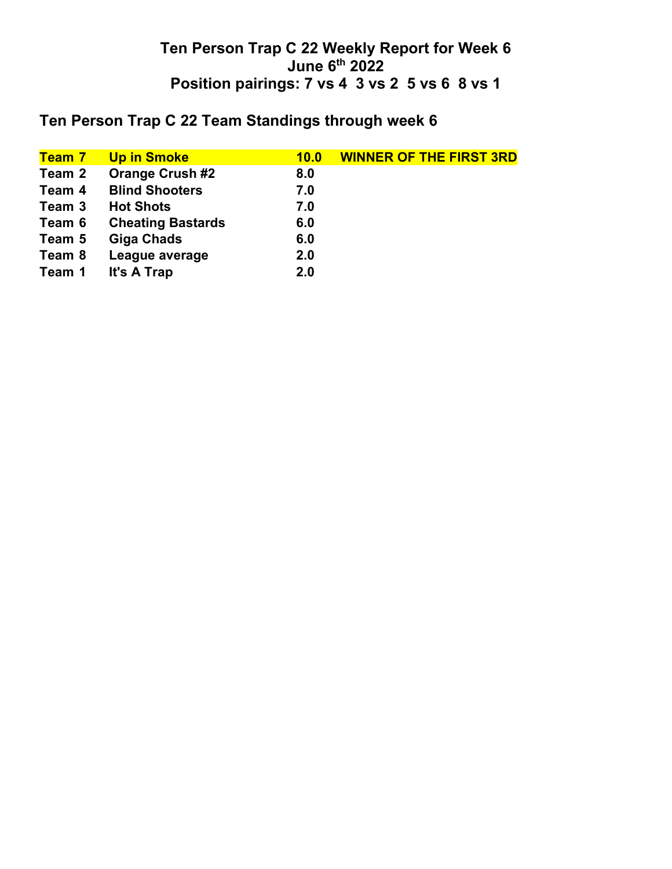# **Ten Person Trap C 22 Team Standings through week 6**

| <mark>Team 7</mark> | <b>Up in Smoke</b>       | 10.0 | <b>WINNER OF THE FIRST 3RD</b> |
|---------------------|--------------------------|------|--------------------------------|
| Team 2              | <b>Orange Crush #2</b>   | 8.0  |                                |
| Team 4              | <b>Blind Shooters</b>    | 7.0  |                                |
| Team 3              | <b>Hot Shots</b>         | 7.0  |                                |
| Team 6              | <b>Cheating Bastards</b> | 6.0  |                                |
| Team 5              | <b>Giga Chads</b>        | 6.0  |                                |
| Team 8              | League average           | 2.0  |                                |
| Team 1              | It's A Trap              | 2.0  |                                |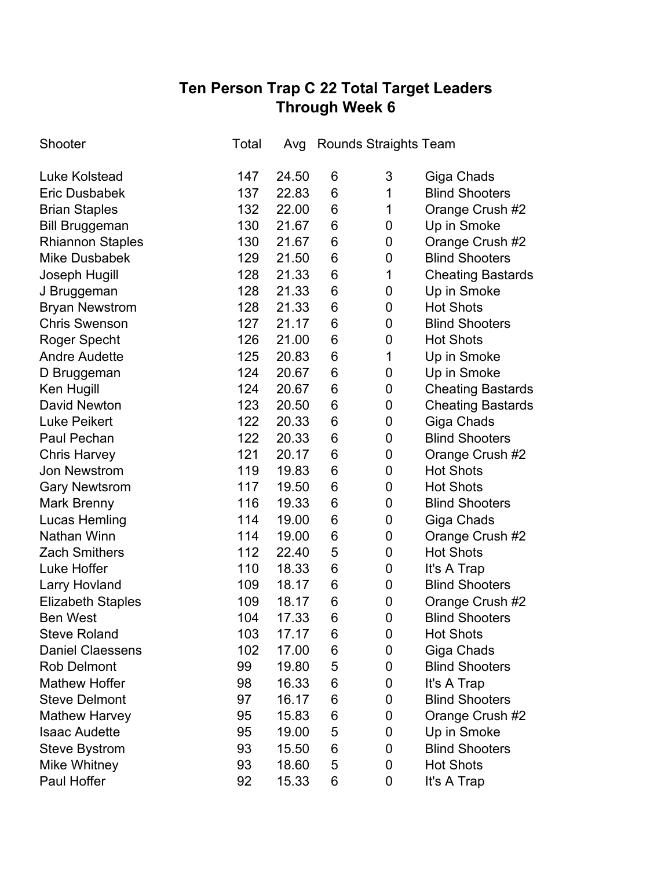## **Ten Person Trap C 22 Total Target Leaders Through Week 6**

| Shooter                  | Total | Avg   | <b>Rounds Straights Team</b> |             |                          |
|--------------------------|-------|-------|------------------------------|-------------|--------------------------|
| <b>Luke Kolstead</b>     | 147   | 24.50 | 6                            | 3           | Giga Chads               |
| <b>Eric Dusbabek</b>     | 137   | 22.83 | 6                            | 1           | <b>Blind Shooters</b>    |
| <b>Brian Staples</b>     | 132   | 22.00 | 6                            | 1           | Orange Crush #2          |
| <b>Bill Bruggeman</b>    | 130   | 21.67 | 6                            | 0           | Up in Smoke              |
| <b>Rhiannon Staples</b>  | 130   | 21.67 | 6                            | 0           | Orange Crush #2          |
| <b>Mike Dusbabek</b>     | 129   | 21.50 | 6                            | 0           | <b>Blind Shooters</b>    |
| Joseph Hugill            | 128   | 21.33 | $6\phantom{1}6$              | 1           | <b>Cheating Bastards</b> |
| J Bruggeman              | 128   | 21.33 | 6                            | $\mathbf 0$ | Up in Smoke              |
| <b>Bryan Newstrom</b>    | 128   | 21.33 | 6                            | $\mathbf 0$ | <b>Hot Shots</b>         |
| <b>Chris Swenson</b>     | 127   | 21.17 | 6                            | 0           | <b>Blind Shooters</b>    |
| Roger Specht             | 126   | 21.00 | $6\phantom{1}6$              | 0           | <b>Hot Shots</b>         |
| <b>Andre Audette</b>     | 125   | 20.83 | 6                            | 1           | Up in Smoke              |
| D Bruggeman              | 124   | 20.67 | 6                            | 0           | Up in Smoke              |
| Ken Hugill               | 124   | 20.67 | 6                            | 0           | <b>Cheating Bastards</b> |
| <b>David Newton</b>      | 123   | 20.50 | 6                            | 0           | <b>Cheating Bastards</b> |
| <b>Luke Peikert</b>      | 122   | 20.33 | 6                            | 0           | Giga Chads               |
| Paul Pechan              | 122   | 20.33 | $6\phantom{1}6$              | 0           | <b>Blind Shooters</b>    |
| <b>Chris Harvey</b>      | 121   | 20.17 | 6                            | 0           | Orange Crush #2          |
| <b>Jon Newstrom</b>      | 119   | 19.83 | 6                            | 0           | <b>Hot Shots</b>         |
| <b>Gary Newtsrom</b>     | 117   | 19.50 | 6                            | 0           | <b>Hot Shots</b>         |
| <b>Mark Brenny</b>       | 116   | 19.33 | 6                            | 0           | <b>Blind Shooters</b>    |
| <b>Lucas Hemling</b>     | 114   | 19.00 | 6                            | 0           | Giga Chads               |
| <b>Nathan Winn</b>       | 114   | 19.00 | 6                            | 0           | Orange Crush #2          |
| <b>Zach Smithers</b>     | 112   | 22.40 | 5                            | 0           | <b>Hot Shots</b>         |
| Luke Hoffer              | 110   | 18.33 | 6                            | 0           | It's A Trap              |
| Larry Hovland            | 109   | 18.17 | 6                            | 0           | <b>Blind Shooters</b>    |
| <b>Elizabeth Staples</b> | 109   | 18.17 | 6                            | 0           | Orange Crush #2          |
| <b>Ben West</b>          | 104   | 17.33 | 6                            | $\mathbf 0$ | <b>Blind Shooters</b>    |
| <b>Steve Roland</b>      | 103   | 17.17 | 6                            | 0           | <b>Hot Shots</b>         |
| <b>Daniel Claessens</b>  | 102   | 17.00 | 6                            | 0           | Giga Chads               |
| Rob Delmont              | 99    | 19.80 | 5                            | 0           | <b>Blind Shooters</b>    |
| <b>Mathew Hoffer</b>     | 98    | 16.33 | 6                            | 0           | It's A Trap              |
| <b>Steve Delmont</b>     | 97    | 16.17 | 6                            | 0           | <b>Blind Shooters</b>    |
| <b>Mathew Harvey</b>     | 95    | 15.83 | 6                            | 0           | Orange Crush #2          |
| <b>Isaac Audette</b>     | 95    | 19.00 | 5                            | 0           | Up in Smoke              |
| <b>Steve Bystrom</b>     | 93    | 15.50 | 6                            | 0           | <b>Blind Shooters</b>    |
| Mike Whitney             | 93    | 18.60 | 5                            | 0           | <b>Hot Shots</b>         |
| Paul Hoffer              | 92    | 15.33 | $6\phantom{1}6$              | 0           | It's A Trap              |